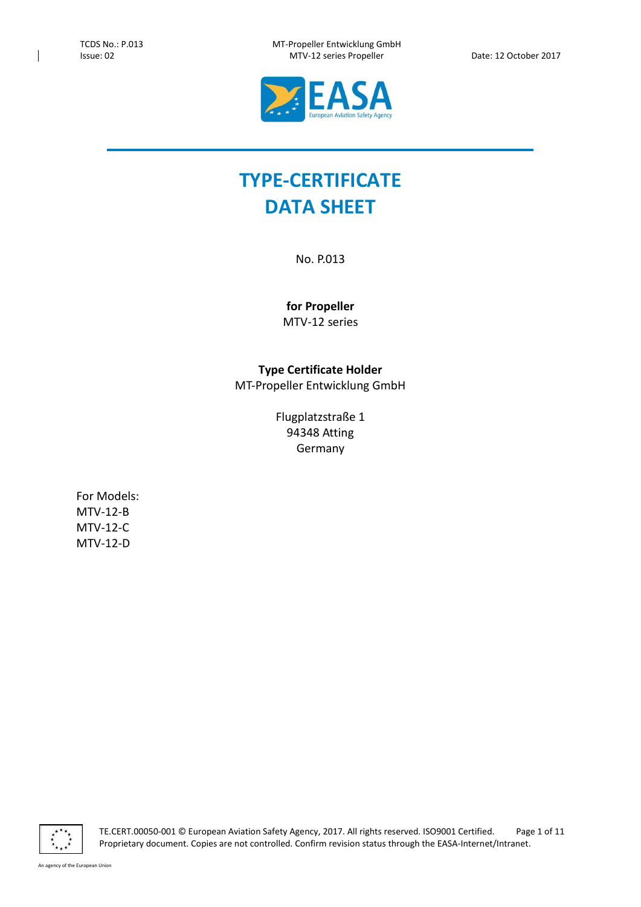

# **TYPE-CERTIFICATE DATA SHEET**

No. P.013

**for Propeller** MTV-12 series

## **Type Certificate Holder** MT-Propeller Entwicklung GmbH

Flugplatzstraße 1 94348 Atting Germany

For Models: MTV-12-B MTV-12-C MTV-12-D



TE.CERT.00050-001 © European Aviation Safety Agency, 2017. All rights reserved. ISO9001 Certified. Page 1 of 11 Proprietary document. Copies are not controlled. Confirm revision status through the EASA-Internet/Intranet.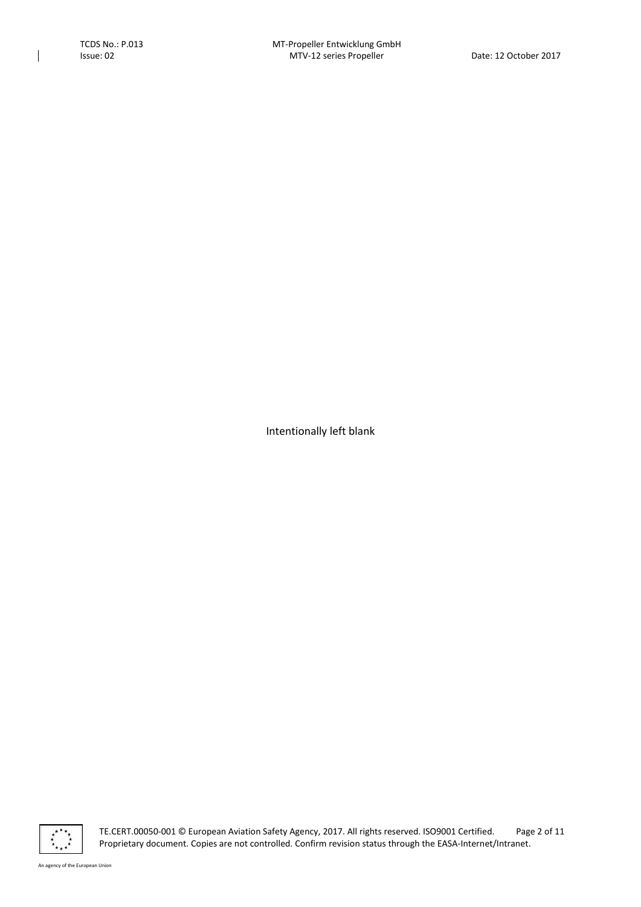Intentionally left blank



TE.CERT.00050-001 © European Aviation Safety Agency, 2017. All rights reserved. ISO9001 Certified. Page 2 of 11 Proprietary document. Copies are not controlled. Confirm revision status through the EASA-Internet/Intranet.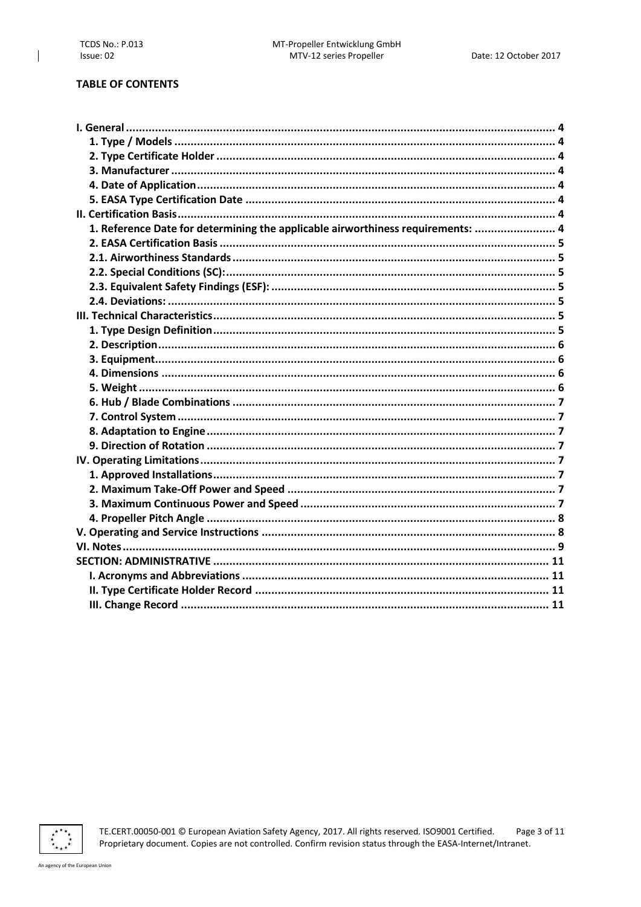## **TABLE OF CONTENTS**

| 1. Reference Date for determining the applicable airworthiness requirements:  4 |  |
|---------------------------------------------------------------------------------|--|
|                                                                                 |  |
|                                                                                 |  |
|                                                                                 |  |
|                                                                                 |  |
|                                                                                 |  |
|                                                                                 |  |
|                                                                                 |  |
|                                                                                 |  |
|                                                                                 |  |
|                                                                                 |  |
|                                                                                 |  |
|                                                                                 |  |
|                                                                                 |  |
|                                                                                 |  |
|                                                                                 |  |
|                                                                                 |  |
|                                                                                 |  |
|                                                                                 |  |
|                                                                                 |  |
|                                                                                 |  |
|                                                                                 |  |
|                                                                                 |  |
|                                                                                 |  |
|                                                                                 |  |
|                                                                                 |  |
|                                                                                 |  |
|                                                                                 |  |

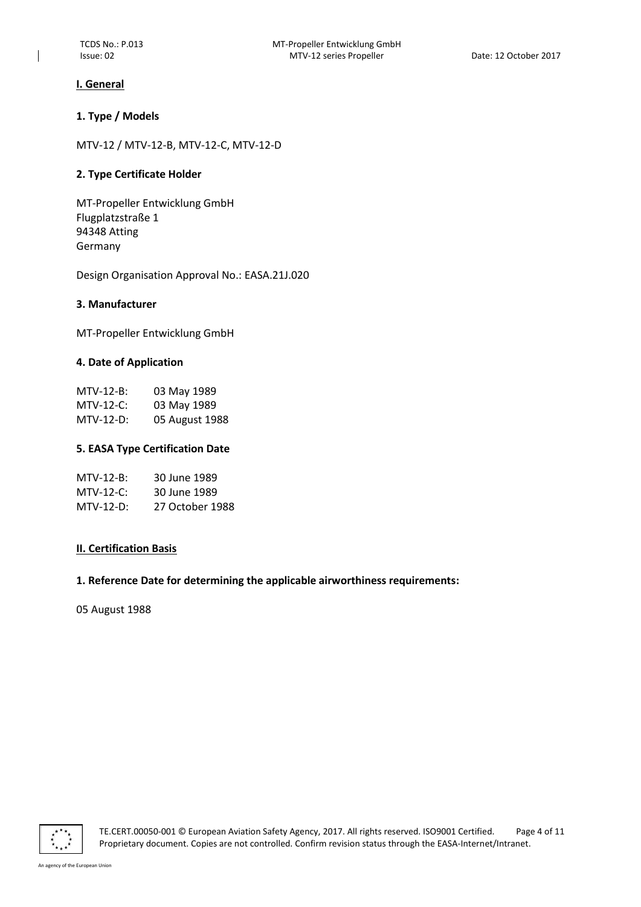## <span id="page-3-0"></span>**I. General**

## <span id="page-3-1"></span>**1. Type / Models**

MTV-12 / MTV-12-B, MTV-12-C, MTV-12-D

## <span id="page-3-2"></span>**2. Type Certificate Holder**

MT-Propeller Entwicklung GmbH Flugplatzstraße 1 94348 Atting Germany

Design Organisation Approval No.: EASA.21J.020

## <span id="page-3-3"></span>**3. Manufacturer**

MT-Propeller Entwicklung GmbH

## <span id="page-3-4"></span>**4. Date of Application**

| $MTV-12-B:$  | 03 May 1989    |
|--------------|----------------|
| $MTV-12-C$ : | 03 May 1989    |
| $MTV-12-D:$  | 05 August 1988 |

## <span id="page-3-5"></span>**5. EASA Type Certification Date**

| $MTV-12-B:$ | 30 June 1989    |
|-------------|-----------------|
| $MTV-12-C:$ | 30 June 1989    |
| $MTV-12-D:$ | 27 October 1988 |

## <span id="page-3-6"></span>**II. Certification Basis**

## <span id="page-3-7"></span>**1. Reference Date for determining the applicable airworthiness requirements:**

05 August 1988



TE.CERT.00050-001 © European Aviation Safety Agency, 2017. All rights reserved. ISO9001 Certified. Page 4 of 11 Proprietary document. Copies are not controlled. Confirm revision status through the EASA-Internet/Intranet.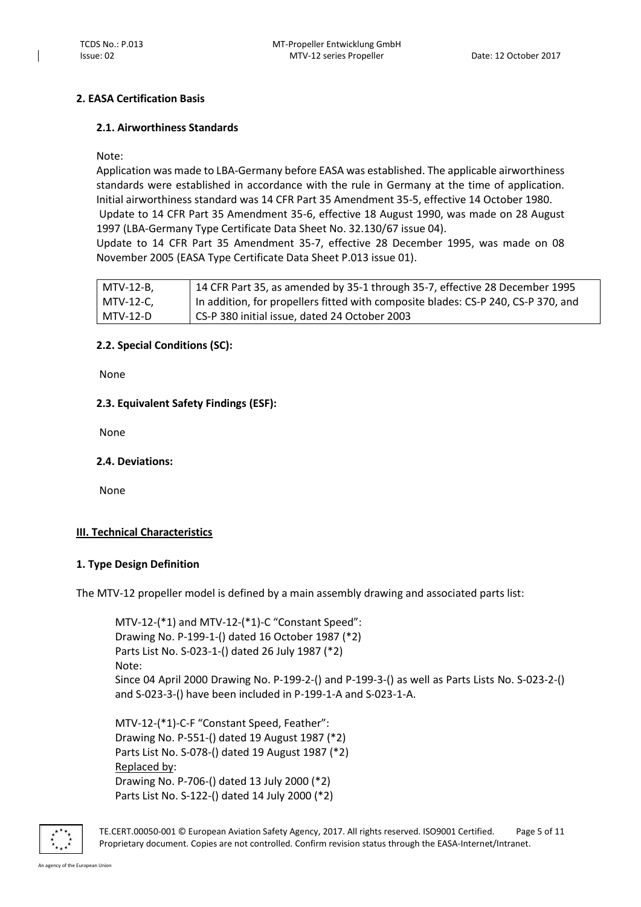## <span id="page-4-0"></span>**2. EASA Certification Basis**

## <span id="page-4-1"></span>**2.1. Airworthiness Standards**

Note:

Application was made to LBA-Germany before EASA was established. The applicable airworthiness standards were established in accordance with the rule in Germany at the time of application. Initial airworthiness standard was 14 CFR Part 35 Amendment 35-5, effective 14 October 1980. Update to 14 CFR Part 35 Amendment 35-6, effective 18 August 1990, was made on 28 August

1997 (LBA-Germany Type Certificate Data Sheet No. 32.130/67 issue 04). Update to 14 CFR Part 35 Amendment 35-7, effective 28 December 1995, was made on 08 November 2005 (EASA Type Certificate Data Sheet P.013 issue 01).

| MTV-12-B, | 14 CFR Part 35, as amended by 35-1 through 35-7, effective 28 December 1995       |
|-----------|-----------------------------------------------------------------------------------|
| MTV-12-C, | In addition, for propellers fitted with composite blades: CS-P 240, CS-P 370, and |
| MTV-12-D  | CS-P 380 initial issue, dated 24 October 2003                                     |

## <span id="page-4-2"></span>**2.2. Special Conditions (SC):**

None

## <span id="page-4-3"></span>**2.3. Equivalent Safety Findings (ESF):**

None

## <span id="page-4-4"></span>**2.4. Deviations:**

None

## <span id="page-4-5"></span>**III. Technical Characteristics**

## <span id="page-4-6"></span>**1. Type Design Definition**

The MTV-12 propeller model is defined by a main assembly drawing and associated parts list:

MTV-12-(\*1) and MTV-12-(\*1)-C "Constant Speed": Drawing No. P-199-1-() dated 16 October 1987 (\*2) Parts List No. S-023-1-() dated 26 July 1987 (\*2) Note: Since 04 April 2000 Drawing No. P-199-2-() and P-199-3-() as well as Parts Lists No. S-023-2-() and S-023-3-() have been included in P-199-1-A and S-023-1-A.

MTV-12-(\*1)-C-F "Constant Speed, Feather": Drawing No. P-551-() dated 19 August 1987 (\*2) Parts List No. S-078-() dated 19 August 1987 (\*2) Replaced by: Drawing No. P-706-() dated 13 July 2000 (\*2) Parts List No. S-122-() dated 14 July 2000 (\*2)



TE.CERT.00050-001 © European Aviation Safety Agency, 2017. All rights reserved. ISO9001 Certified. Page 5 of 11 Proprietary document. Copies are not controlled. Confirm revision status through the EASA-Internet/Intranet.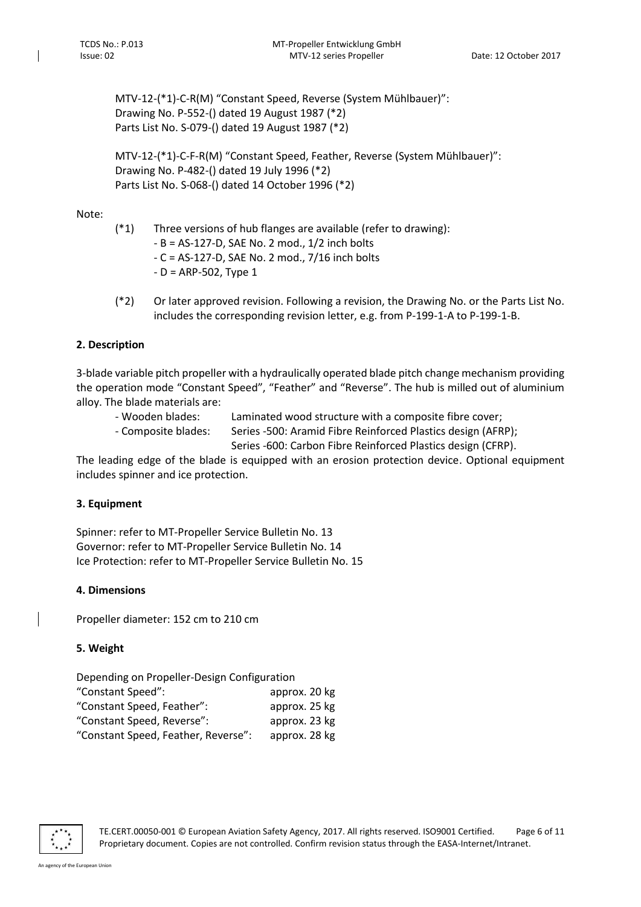MTV-12-(\*1)-C-R(M) "Constant Speed, Reverse (System Mühlbauer)": Drawing No. P-552-() dated 19 August 1987 (\*2) Parts List No. S-079-() dated 19 August 1987 (\*2)

MTV-12-(\*1)-C-F-R(M) "Constant Speed, Feather, Reverse (System Mühlbauer)": Drawing No. P-482-() dated 19 July 1996 (\*2) Parts List No. S-068-() dated 14 October 1996 (\*2)

#### Note:

| $(*1)$ | Three versions of hub flanges are available (refer to drawing): |
|--------|-----------------------------------------------------------------|
|        | $-B = AS-127-D$ , SAE No. 2 mod., $1/2$ inch bolts              |
|        | $-C = AS-127-D$ , SAE No. 2 mod., $7/16$ inch bolts             |
|        | $-D = ARP-502$ , Type 1                                         |
|        |                                                                 |

(\*2) Or later approved revision. Following a revision, the Drawing No. or the Parts List No. includes the corresponding revision letter, e.g. from P-199-1-A to P-199-1-B.

#### <span id="page-5-0"></span>**2. Description**

3-blade variable pitch propeller with a hydraulically operated blade pitch change mechanism providing the operation mode "Constant Speed", "Feather" and "Reverse". The hub is milled out of aluminium alloy. The blade materials are:

- Wooden blades: Laminated wood structure with a composite fibre cover;
- Composite blades: Series -500: Aramid Fibre Reinforced Plastics design (AFRP);

Series -600: Carbon Fibre Reinforced Plastics design (CFRP).

The leading edge of the blade is equipped with an erosion protection device. Optional equipment includes spinner and ice protection.

#### <span id="page-5-1"></span>**3. Equipment**

Spinner: refer to MT-Propeller Service Bulletin No. 13 Governor: refer to MT-Propeller Service Bulletin No. 14 Ice Protection: refer to MT-Propeller Service Bulletin No. 15

#### <span id="page-5-2"></span>**4. Dimensions**

Propeller diameter: 152 cm to 210 cm

## <span id="page-5-3"></span>**5. Weight**

Depending on Propeller-Design Configuration "Constant Speed": approx. 20 kg

| "Constant Speed, Feather":          | approx. 25 kg |
|-------------------------------------|---------------|
| "Constant Speed, Reverse":          | approx. 23 kg |
| "Constant Speed, Feather, Reverse": | approx. 28 kg |

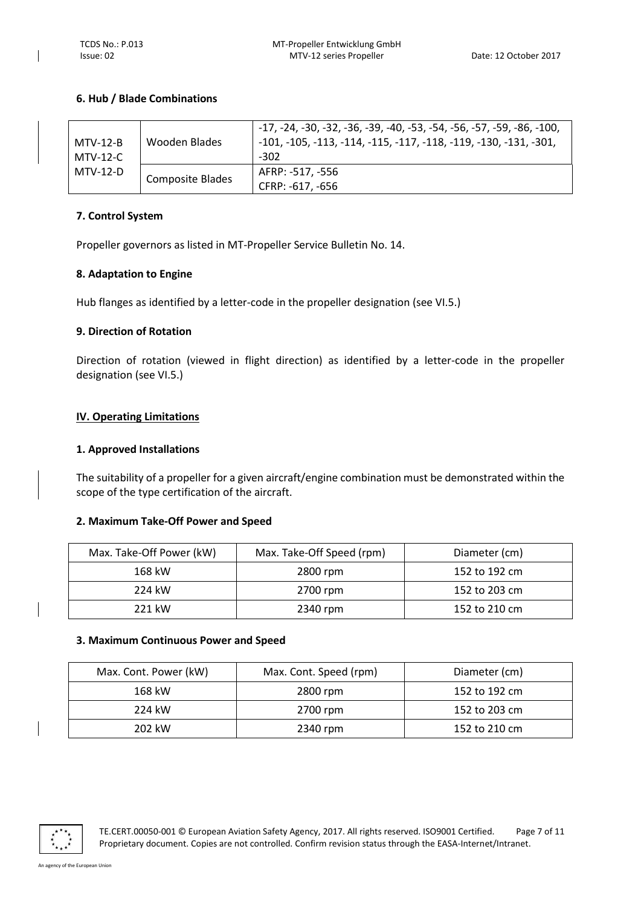#### <span id="page-6-0"></span>**6. Hub / Blade Combinations**

| $MTV-12-B$<br>MTV-12-C | Wooden Blades    | -17, -24, -30, -32, -36, -39, -40, -53, -54, -56, -57, -59, -86, -100,<br>$-101, -105, -113, -114, -115, -117, -118, -119, -130, -131, -301,$<br>$-302$ |
|------------------------|------------------|---------------------------------------------------------------------------------------------------------------------------------------------------------|
| MTV-12-D               |                  | AFRP: -517. -556                                                                                                                                        |
|                        | Composite Blades | CFRP: -617, -656                                                                                                                                        |

#### <span id="page-6-1"></span>**7. Control System**

Propeller governors as listed in MT-Propeller Service Bulletin No. 14.

#### <span id="page-6-2"></span>**8. Adaptation to Engine**

Hub flanges as identified by a letter-code in the propeller designation (see VI.5.)

#### <span id="page-6-3"></span>**9. Direction of Rotation**

Direction of rotation (viewed in flight direction) as identified by a letter-code in the propeller designation (see VI.5.)

#### <span id="page-6-4"></span>**IV. Operating Limitations**

#### <span id="page-6-5"></span>**1. Approved Installations**

The suitability of a propeller for a given aircraft/engine combination must be demonstrated within the scope of the type certification of the aircraft.

## <span id="page-6-6"></span>**2. Maximum Take-Off Power and Speed**

| Max. Take-Off Power (kW) | Max. Take-Off Speed (rpm) | Diameter (cm) |
|--------------------------|---------------------------|---------------|
| 168 kW                   | 2800 rpm                  | 152 to 192 cm |
| 224 kW                   | 2700 rpm                  | 152 to 203 cm |
| 221 kW                   | 2340 rpm                  | 152 to 210 cm |

## <span id="page-6-7"></span>**3. Maximum Continuous Power and Speed**

| Max. Cont. Power (kW) | Max. Cont. Speed (rpm) | Diameter (cm) |
|-----------------------|------------------------|---------------|
| 168 kW                | 2800 rpm               | 152 to 192 cm |
| 224 kW                | 2700 rpm               | 152 to 203 cm |
| 202 kW                | 2340 rpm               | 152 to 210 cm |



TE.CERT.00050-001 © European Aviation Safety Agency, 2017. All rights reserved. ISO9001 Certified. Page 7 of 11 Proprietary document. Copies are not controlled. Confirm revision status through the EASA-Internet/Intranet.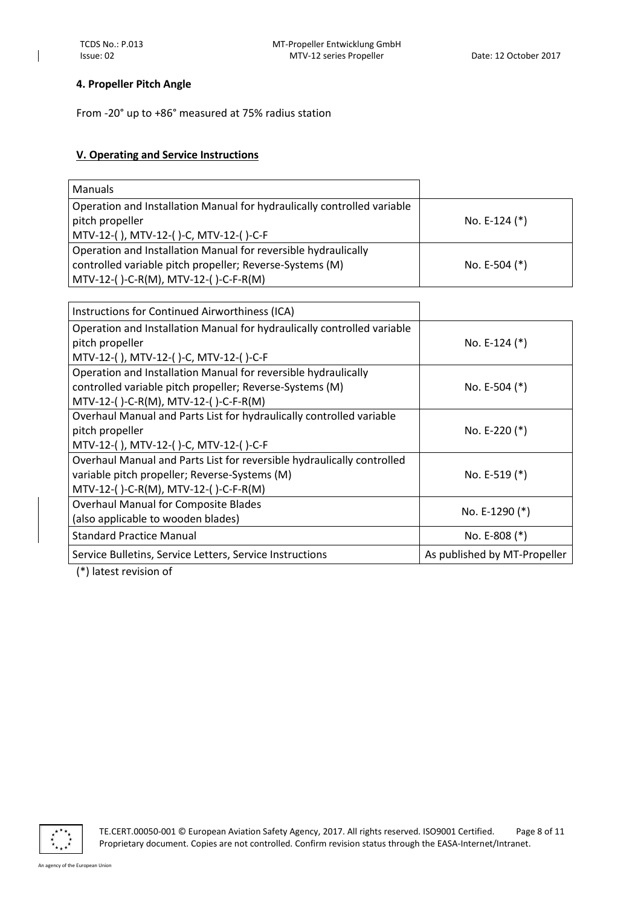## <span id="page-7-0"></span>**4. Propeller Pitch Angle**

From -20° up to +86° measured at 75% radius station

## <span id="page-7-1"></span>**V. Operating and Service Instructions**

| <b>Manuals</b>                                                          |                   |
|-------------------------------------------------------------------------|-------------------|
| Operation and Installation Manual for hydraulically controlled variable |                   |
| pitch propeller                                                         | No. $E-124$ $(*)$ |
| MTV-12-( ), MTV-12-( )-C, MTV-12-( )-C-F                                |                   |
| Operation and Installation Manual for reversible hydraulically          |                   |
| controlled variable pitch propeller; Reverse-Systems (M)                | No. E-504 (*)     |
| MTV-12-()-C-R(M), MTV-12-()-C-F-R(M)                                    |                   |

| Instructions for Continued Airworthiness (ICA)                          |                              |
|-------------------------------------------------------------------------|------------------------------|
| Operation and Installation Manual for hydraulically controlled variable |                              |
| pitch propeller                                                         | No. $E-124$ $(*)$            |
| MTV-12-(), MTV-12-()-C, MTV-12-()-C-F                                   |                              |
| Operation and Installation Manual for reversible hydraulically          |                              |
| controlled variable pitch propeller; Reverse-Systems (M)                | No. E-504 $(*)$              |
| MTV-12-()-C-R(M), MTV-12-()-C-F-R(M)                                    |                              |
| Overhaul Manual and Parts List for hydraulically controlled variable    |                              |
| pitch propeller                                                         | No. E-220 (*)                |
| MTV-12-(), MTV-12-()-C, MTV-12-()-C-F                                   |                              |
| Overhaul Manual and Parts List for reversible hydraulically controlled  |                              |
| variable pitch propeller; Reverse-Systems (M)                           | No. E-519 (*)                |
| MTV-12-()-C-R(M), MTV-12-()-C-F-R(M)                                    |                              |
| <b>Overhaul Manual for Composite Blades</b>                             |                              |
| (also applicable to wooden blades)                                      | No. E-1290 (*)               |
| <b>Standard Practice Manual</b>                                         | No. E-808 (*)                |
| Service Bulletins, Service Letters, Service Instructions                | As published by MT-Propeller |
| $1 * 1 - 1 - 1 - 1 - 1 - 1 - 1 - 1$                                     |                              |

(\*) latest revision of

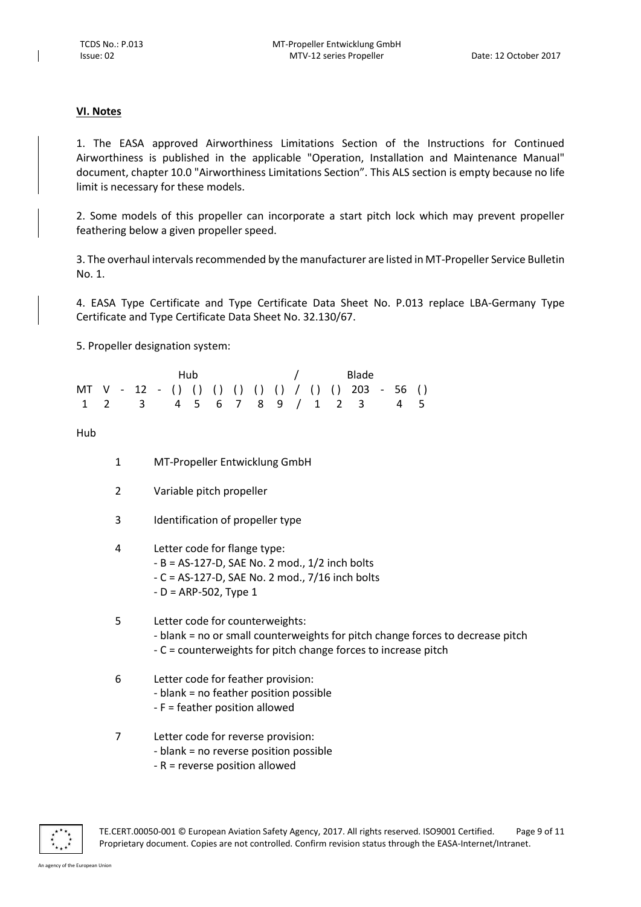#### <span id="page-8-0"></span>**VI. Notes**

1. The EASA approved Airworthiness Limitations Section of the Instructions for Continued Airworthiness is published in the applicable "Operation, Installation and Maintenance Manual" document, chapter 10.0 "Airworthiness Limitations Section". This ALS section is empty because no life limit is necessary for these models.

2. Some models of this propeller can incorporate a start pitch lock which may prevent propeller feathering below a given propeller speed.

3. The overhaul intervals recommended by the manufacturer are listed in MT-Propeller Service Bulletin No. 1.

4. EASA Type Certificate and Type Certificate Data Sheet No. P.013 replace LBA-Germany Type Certificate and Type Certificate Data Sheet No. 32.130/67.

5. Propeller designation system:

| Hub |  |  |  |  |  |  |  | / Blade |                                                      |  |  |
|-----|--|--|--|--|--|--|--|---------|------------------------------------------------------|--|--|
|     |  |  |  |  |  |  |  |         | MT V - 12 - () () () () () () () / () () 203 - 56 () |  |  |
|     |  |  |  |  |  |  |  |         | 1 2 3 4 5 6 7 8 9 / 1 2 3 4 5                        |  |  |

Hub

- 1 MT-Propeller Entwicklung GmbH
- 2 Variable pitch propeller
- 3 Identification of propeller type
- 4 Letter code for flange type: - B = AS-127-D, SAE No. 2 mod., 1/2 inch bolts - C = AS-127-D, SAE No. 2 mod., 7/16 inch bolts  $-D = ARP-502$ , Type 1

# 5 Letter code for counterweights: - blank = no or small counterweights for pitch change forces to decrease pitch - C = counterweights for pitch change forces to increase pitch

- 6 Letter code for feather provision: - blank = no feather position possible - F = feather position allowed
- 7 Letter code for reverse provision:
	- blank = no reverse position possible
		- R = reverse position allowed



TE.CERT.00050-001 © European Aviation Safety Agency, 2017. All rights reserved. ISO9001 Certified. Page 9 of 11 Proprietary document. Copies are not controlled. Confirm revision status through the EASA-Internet/Intranet.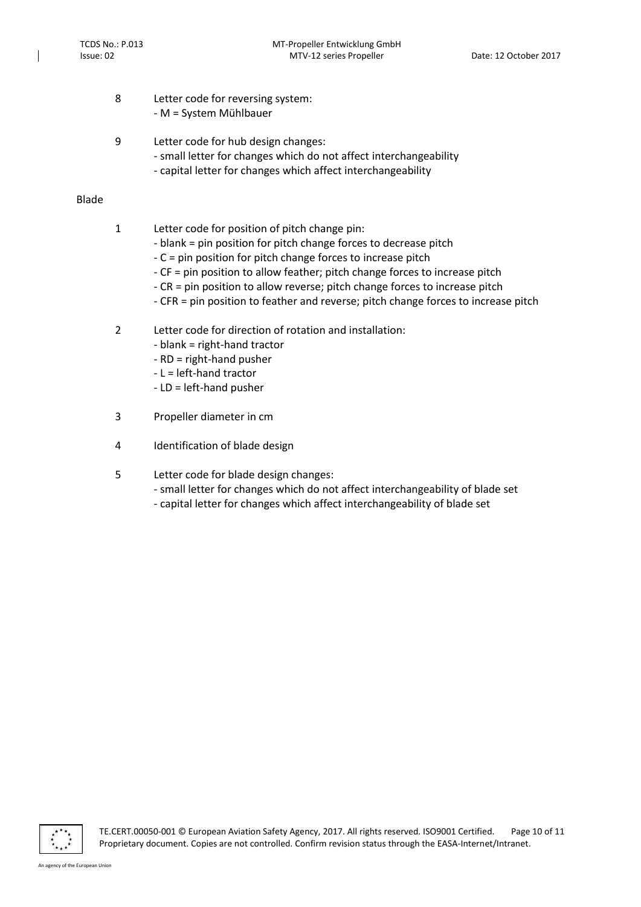- 8 Letter code for reversing system: - M = System Mühlbauer
- 9 Letter code for hub design changes:
	- small letter for changes which do not affect interchangeability
	- capital letter for changes which affect interchangeability

#### Blade

- 1 Letter code for position of pitch change pin:
	- blank = pin position for pitch change forces to decrease pitch
	- C = pin position for pitch change forces to increase pitch
	- CF = pin position to allow feather; pitch change forces to increase pitch
	- CR = pin position to allow reverse; pitch change forces to increase pitch
	- CFR = pin position to feather and reverse; pitch change forces to increase pitch
- 2 Letter code for direction of rotation and installation:
	- blank = right-hand tractor
	- RD = right-hand pusher
	- L = left-hand tractor
	- LD = left-hand pusher
- 3 Propeller diameter in cm
- 4 Identification of blade design
- 5 Letter code for blade design changes:
	- small letter for changes which do not affect interchangeability of blade set
	- capital letter for changes which affect interchangeability of blade set